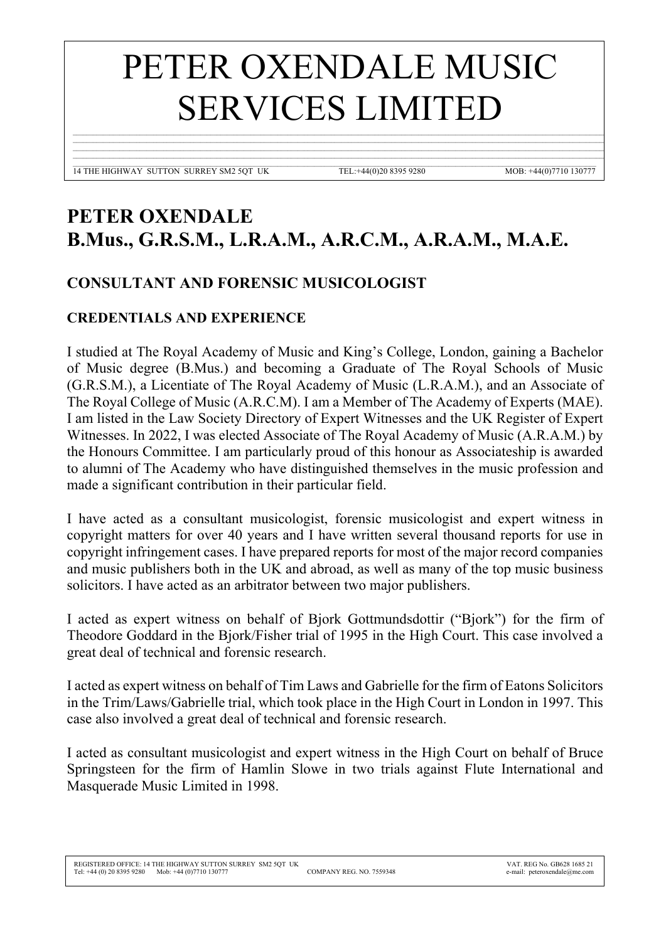## PETER OXENDALE MUSIC SERVICES LIMITED

 $\mathcal{L}_\mathcal{L} = \mathcal{L}_\mathcal{L} = \mathcal{L}_\mathcal{L} = \mathcal{L}_\mathcal{L} = \mathcal{L}_\mathcal{L} = \mathcal{L}_\mathcal{L} = \mathcal{L}_\mathcal{L} = \mathcal{L}_\mathcal{L} = \mathcal{L}_\mathcal{L} = \mathcal{L}_\mathcal{L} = \mathcal{L}_\mathcal{L} = \mathcal{L}_\mathcal{L} = \mathcal{L}_\mathcal{L} = \mathcal{L}_\mathcal{L} = \mathcal{L}_\mathcal{L} = \mathcal{L}_\mathcal{L} = \mathcal{L}_\mathcal{L}$  $\mathcal{L}_\mathcal{L} = \mathcal{L}_\mathcal{L} = \mathcal{L}_\mathcal{L} = \mathcal{L}_\mathcal{L} = \mathcal{L}_\mathcal{L} = \mathcal{L}_\mathcal{L} = \mathcal{L}_\mathcal{L} = \mathcal{L}_\mathcal{L} = \mathcal{L}_\mathcal{L} = \mathcal{L}_\mathcal{L} = \mathcal{L}_\mathcal{L} = \mathcal{L}_\mathcal{L} = \mathcal{L}_\mathcal{L} = \mathcal{L}_\mathcal{L} = \mathcal{L}_\mathcal{L} = \mathcal{L}_\mathcal{L} = \mathcal{L}_\mathcal{L}$  $\mathcal{L}_\mathcal{L} = \mathcal{L}_\mathcal{L} = \mathcal{L}_\mathcal{L} = \mathcal{L}_\mathcal{L} = \mathcal{L}_\mathcal{L} = \mathcal{L}_\mathcal{L} = \mathcal{L}_\mathcal{L} = \mathcal{L}_\mathcal{L} = \mathcal{L}_\mathcal{L} = \mathcal{L}_\mathcal{L} = \mathcal{L}_\mathcal{L} = \mathcal{L}_\mathcal{L} = \mathcal{L}_\mathcal{L} = \mathcal{L}_\mathcal{L} = \mathcal{L}_\mathcal{L} = \mathcal{L}_\mathcal{L} = \mathcal{L}_\mathcal{L}$  $\mathcal{L}_\mathcal{L} = \mathcal{L}_\mathcal{L} = \mathcal{L}_\mathcal{L} = \mathcal{L}_\mathcal{L} = \mathcal{L}_\mathcal{L} = \mathcal{L}_\mathcal{L} = \mathcal{L}_\mathcal{L} = \mathcal{L}_\mathcal{L} = \mathcal{L}_\mathcal{L} = \mathcal{L}_\mathcal{L} = \mathcal{L}_\mathcal{L} = \mathcal{L}_\mathcal{L} = \mathcal{L}_\mathcal{L} = \mathcal{L}_\mathcal{L} = \mathcal{L}_\mathcal{L} = \mathcal{L}_\mathcal{L} = \mathcal{L}_\mathcal{L}$ 

 $\mathcal{L}_\mathcal{L} = \mathcal{L}_\mathcal{L} = \mathcal{L}_\mathcal{L} = \mathcal{L}_\mathcal{L} = \mathcal{L}_\mathcal{L} = \mathcal{L}_\mathcal{L} = \mathcal{L}_\mathcal{L} = \mathcal{L}_\mathcal{L} = \mathcal{L}_\mathcal{L} = \mathcal{L}_\mathcal{L} = \mathcal{L}_\mathcal{L} = \mathcal{L}_\mathcal{L} = \mathcal{L}_\mathcal{L} = \mathcal{L}_\mathcal{L} = \mathcal{L}_\mathcal{L} = \mathcal{L}_\mathcal{L} = \mathcal{L}_\mathcal{L}$ 14 THE HIGHWAY SUTTON SURREY SM2 5QT UK TEL:+44(0)20 8395 9280 MOB: +44(0)7710 130777

## **PETER OXENDALE B.Mus., G.R.S.M., L.R.A.M., A.R.C.M., A.R.A.M., M.A.E.**

## **CONSULTANT AND FORENSIC MUSICOLOGIST**

## **CREDENTIALS AND EXPERIENCE**

I studied at The Royal Academy of Music and King's College, London, gaining a Bachelor of Music degree (B.Mus.) and becoming a Graduate of The Royal Schools of Music (G.R.S.M.), a Licentiate of The Royal Academy of Music (L.R.A.M.), and an Associate of The Royal College of Music (A.R.C.M). I am a Member of The Academy of Experts (MAE). I am listed in the Law Society Directory of Expert Witnesses and the UK Register of Expert Witnesses. In 2022, I was elected Associate of The Royal Academy of Music (A.R.A.M.) by the Honours Committee. I am particularly proud of this honour as Associateship is awarded to alumni of The Academy who have distinguished themselves in the music profession and made a significant contribution in their particular field.

I have acted as a consultant musicologist, forensic musicologist and expert witness in copyright matters for over 40 years and I have written several thousand reports for use in copyright infringement cases. I have prepared reports for most of the major record companies and music publishers both in the UK and abroad, as well as many of the top music business solicitors. I have acted as an arbitrator between two major publishers.

I acted as expert witness on behalf of Bjork Gottmundsdottir ("Bjork") for the firm of Theodore Goddard in the Bjork/Fisher trial of 1995 in the High Court. This case involved a great deal of technical and forensic research.

I acted as expert witness on behalf of Tim Laws and Gabrielle for the firm of Eatons Solicitors in the Trim/Laws/Gabrielle trial, which took place in the High Court in London in 1997. This case also involved a great deal of technical and forensic research.

I acted as consultant musicologist and expert witness in the High Court on behalf of Bruce Springsteen for the firm of Hamlin Slowe in two trials against Flute International and Masquerade Music Limited in 1998.

 $\overline{a}$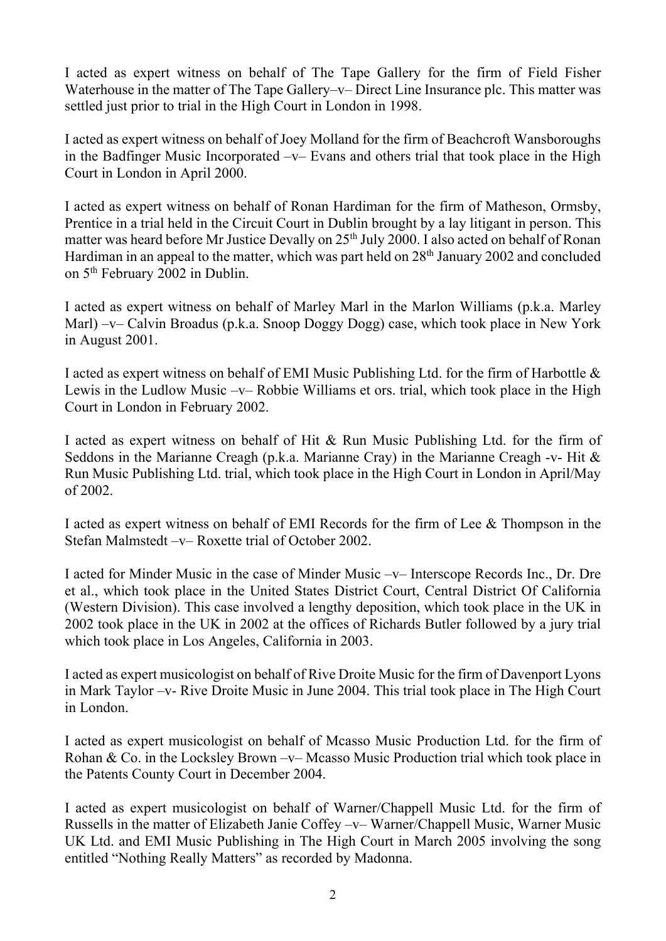I acted as expert witness on behalf of The Tape Gallery for the firm of Field Fisher Waterhouse in the matter of The Tape Gallery–v– Direct Line Insurance plc. This matter was settled just prior to trial in the High Court in London in 1998.

I acted as expert witness on behalf of Joey Molland for the firm of Beachcroft Wansboroughs in the Badfinger Music Incorporated –v– Evans and others trial that took place in the High Court in London in April 2000.

I acted as expert witness on behalf of Ronan Hardiman for the firm of Matheson, Ormsby, Prentice in a trial held in the Circuit Court in Dublin brought by a lay litigant in person. This matter was heard before Mr Justice Devally on 25<sup>th</sup> July 2000. I also acted on behalf of Ronan Hardiman in an appeal to the matter, which was part held on 28<sup>th</sup> January 2002 and concluded on 5th February 2002 in Dublin.

I acted as expert witness on behalf of Marley Marl in the Marlon Williams (p.k.a. Marley Marl) –v– Calvin Broadus (p.k.a. Snoop Doggy Dogg) case, which took place in New York in August 2001.

I acted as expert witness on behalf of EMI Music Publishing Ltd. for the firm of Harbottle & Lewis in the Ludlow Music –v– Robbie Williams et ors. trial, which took place in the High Court in London in February 2002.

I acted as expert witness on behalf of Hit & Run Music Publishing Ltd. for the firm of Seddons in the Marianne Creagh (p.k.a. Marianne Cray) in the Marianne Creagh -v- Hit & Run Music Publishing Ltd. trial, which took place in the High Court in London in April/May of 2002.

I acted as expert witness on behalf of EMI Records for the firm of Lee & Thompson in the Stefan Malmstedt –v– Roxette trial of October 2002.

I acted for Minder Music in the case of Minder Music –v– Interscope Records Inc., Dr. Dre et al., which took place in the United States District Court, Central District Of California (Western Division). This case involved a lengthy deposition, which took place in the UK in 2002 took place in the UK in 2002 at the offices of Richards Butler followed by a jury trial which took place in Los Angeles, California in 2003.

I acted as expert musicologist on behalf of Rive Droite Music for the firm of Davenport Lyons in Mark Taylor –v- Rive Droite Music in June 2004. This trial took place in The High Court in London.

I acted as expert musicologist on behalf of Mcasso Music Production Ltd. for the firm of Rohan & Co. in the Locksley Brown –v– Mcasso Music Production trial which took place in the Patents County Court in December 2004.

I acted as expert musicologist on behalf of Warner/Chappell Music Ltd. for the firm of Russells in the matter of Elizabeth Janie Coffey –v– Warner/Chappell Music, Warner Music UK Ltd. and EMI Music Publishing in The High Court in March 2005 involving the song entitled "Nothing Really Matters" as recorded by Madonna.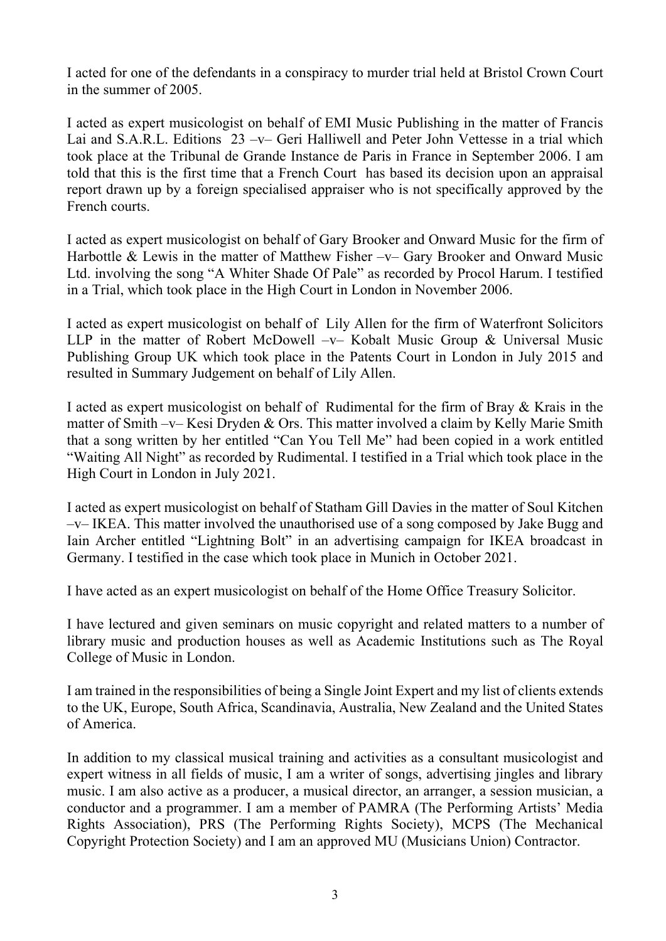I acted for one of the defendants in a conspiracy to murder trial held at Bristol Crown Court in the summer of 2005.

I acted as expert musicologist on behalf of EMI Music Publishing in the matter of Francis Lai and S.A.R.L. Editions 23 –v– Geri Halliwell and Peter John Vettesse in a trial which took place at the Tribunal de Grande Instance de Paris in France in September 2006. I am told that this is the first time that a French Court has based its decision upon an appraisal report drawn up by a foreign specialised appraiser who is not specifically approved by the French courts.

I acted as expert musicologist on behalf of Gary Brooker and Onward Music for the firm of Harbottle & Lewis in the matter of Matthew Fisher –v– Gary Brooker and Onward Music Ltd. involving the song "A Whiter Shade Of Pale" as recorded by Procol Harum. I testified in a Trial, which took place in the High Court in London in November 2006.

I acted as expert musicologist on behalf of Lily Allen for the firm of Waterfront Solicitors LLP in the matter of Robert McDowell –v– Kobalt Music Group & Universal Music Publishing Group UK which took place in the Patents Court in London in July 2015 and resulted in Summary Judgement on behalf of Lily Allen.

I acted as expert musicologist on behalf of Rudimental for the firm of Bray & Krais in the matter of Smith –v– Kesi Dryden & Ors. This matter involved a claim by Kelly Marie Smith that a song written by her entitled "Can You Tell Me" had been copied in a work entitled "Waiting All Night" as recorded by Rudimental. I testified in a Trial which took place in the High Court in London in July 2021.

I acted as expert musicologist on behalf of Statham Gill Davies in the matter of Soul Kitchen –v– IKEA. This matter involved the unauthorised use of a song composed by Jake Bugg and Iain Archer entitled "Lightning Bolt" in an advertising campaign for IKEA broadcast in Germany. I testified in the case which took place in Munich in October 2021.

I have acted as an expert musicologist on behalf of the Home Office Treasury Solicitor.

I have lectured and given seminars on music copyright and related matters to a number of library music and production houses as well as Academic Institutions such as The Royal College of Music in London.

I am trained in the responsibilities of being a Single Joint Expert and my list of clients extends to the UK, Europe, South Africa, Scandinavia, Australia, New Zealand and the United States of America.

In addition to my classical musical training and activities as a consultant musicologist and expert witness in all fields of music, I am a writer of songs, advertising jingles and library music. I am also active as a producer, a musical director, an arranger, a session musician, a conductor and a programmer. I am a member of PAMRA (The Performing Artists' Media Rights Association), PRS (The Performing Rights Society), MCPS (The Mechanical Copyright Protection Society) and I am an approved MU (Musicians Union) Contractor.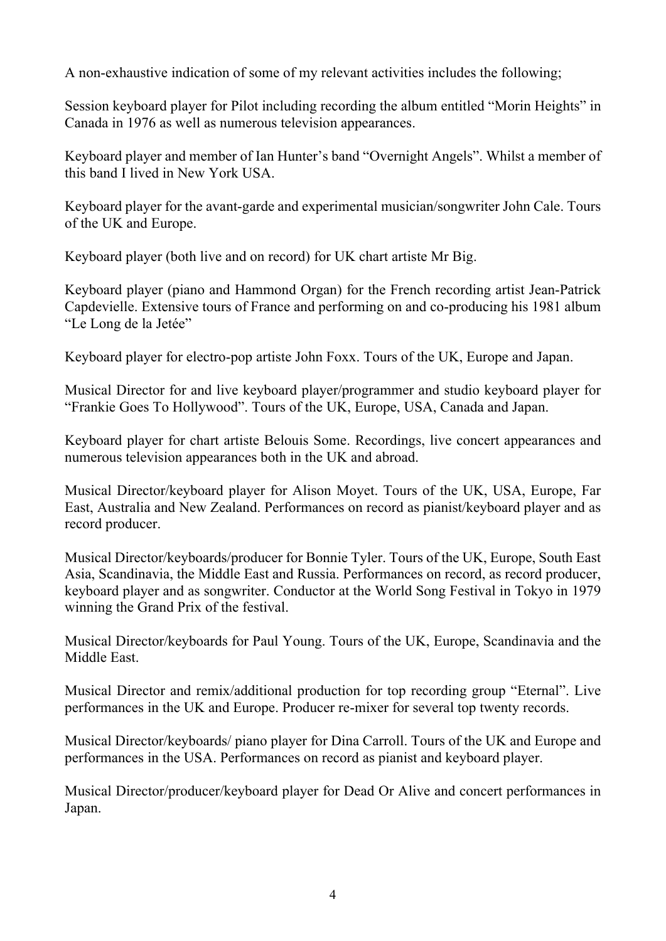A non-exhaustive indication of some of my relevant activities includes the following;

Session keyboard player for Pilot including recording the album entitled "Morin Heights" in Canada in 1976 as well as numerous television appearances.

Keyboard player and member of Ian Hunter's band "Overnight Angels". Whilst a member of this band I lived in New York USA.

Keyboard player for the avant-garde and experimental musician/songwriter John Cale. Tours of the UK and Europe.

Keyboard player (both live and on record) for UK chart artiste Mr Big.

Keyboard player (piano and Hammond Organ) for the French recording artist Jean-Patrick Capdevielle. Extensive tours of France and performing on and co-producing his 1981 album "Le Long de la Jetée"

Keyboard player for electro-pop artiste John Foxx. Tours of the UK, Europe and Japan.

Musical Director for and live keyboard player/programmer and studio keyboard player for "Frankie Goes To Hollywood". Tours of the UK, Europe, USA, Canada and Japan.

Keyboard player for chart artiste Belouis Some. Recordings, live concert appearances and numerous television appearances both in the UK and abroad.

Musical Director/keyboard player for Alison Moyet. Tours of the UK, USA, Europe, Far East, Australia and New Zealand. Performances on record as pianist/keyboard player and as record producer.

Musical Director/keyboards/producer for Bonnie Tyler. Tours of the UK, Europe, South East Asia, Scandinavia, the Middle East and Russia. Performances on record, as record producer, keyboard player and as songwriter. Conductor at the World Song Festival in Tokyo in 1979 winning the Grand Prix of the festival.

Musical Director/keyboards for Paul Young. Tours of the UK, Europe, Scandinavia and the Middle East.

Musical Director and remix/additional production for top recording group "Eternal". Live performances in the UK and Europe. Producer re-mixer for several top twenty records.

Musical Director/keyboards/ piano player for Dina Carroll. Tours of the UK and Europe and performances in the USA. Performances on record as pianist and keyboard player.

Musical Director/producer/keyboard player for Dead Or Alive and concert performances in Japan.